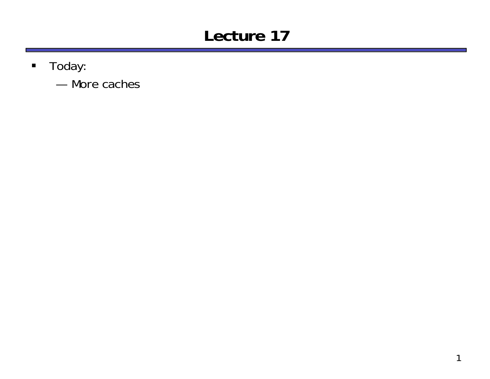## **Lecture 17**

- $\blacksquare$  Today:
	- More caches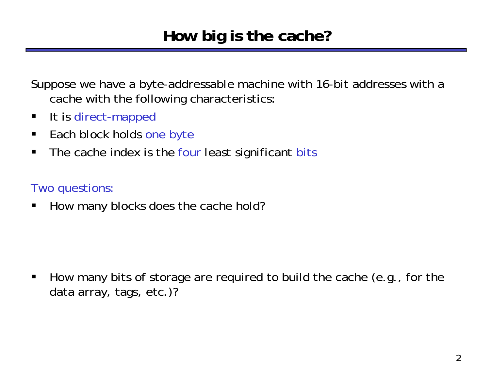Suppose we have a byte-addressable machine with 16-bit addresses with a cache with the following characteristics:

- $\blacksquare$ It is direct-mapped
- $\blacksquare$ Each block holds one byte
- $\blacksquare$ The cache index is the four least significant bits

#### Two questions:

 $\blacksquare$ How many blocks does the cache hold?

 $\blacksquare$  How many bits of storage are required to build the cache (*e.g.*, for the data array, tags, etc.)?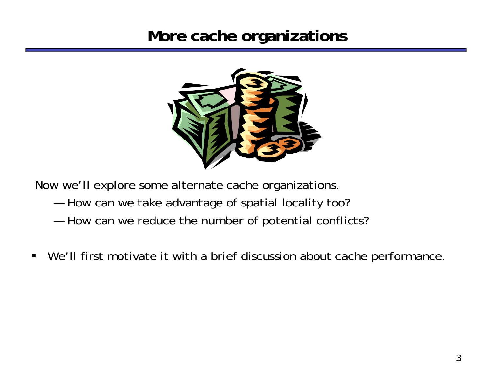#### **More cache organizations**



Now we'll explore some alternate cache organizations.

- ——————— How can we take advantage of spatial locality too?
- ——————— How can we reduce the number of potential conflicts?
- $\blacksquare$ We'll first motivate it with a brief discussion about cache performance.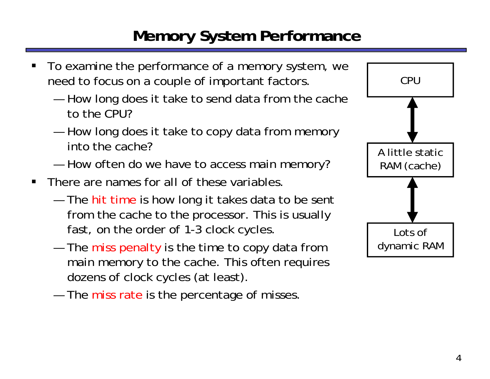### **Memory System Performance**

- Lots ofdynamic RAM A little staticRAM (cache) CPU
- ш To examine the performance of a memory system, we need to focus on a couple of important factors.
	- ——————— How long does it take to send data from the cache to the CPU?
	- ——————— How long does it take to copy data from memory into the cache?
	- ——————— How often do we have to access main memory?
- $\blacksquare$  There are names for all of these variables.
	- $-$  The hit time is how long it takes data to be sent  $\,$ from the cache to the processor. This is usually fast, on the order of 1-3 clock cycles.
	- ——————— The miss penalty is the time to copy data from main memory to the cache. This often requires dozens of clock cycles (at least).
	- $-$  The miss rate is the percentage of misses.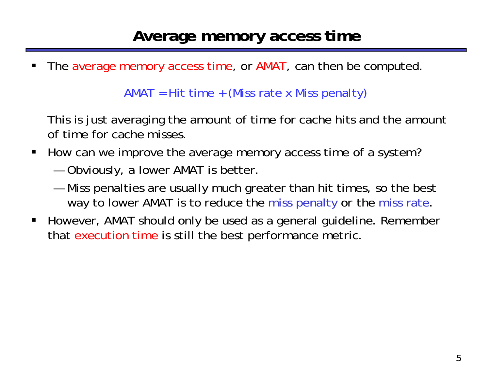$\blacksquare$ The average memory access time, or AMAT, can then be computed.

AMAT = Hit time + (Miss rate x Miss penalty)

This is just averaging the amount of time for cache hits and the amount of time for cache misses.

- $\blacksquare$  How can we improve the average memory access time of a system?
	- ——————— Obviously, a lower AMAT is better.
	- ——————— Miss penalties are usually much greater than hit times, so the best way to lower AMAT is to reduce the miss penalty *or* the miss rate.
- $\blacksquare$  However, AMAT should only be used as a general guideline. Remember that execution time is still the best performance metric.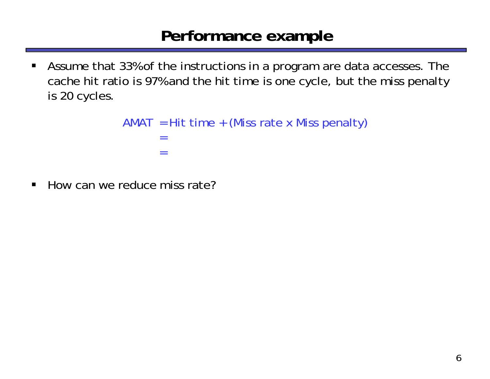#### **Performance example**

 $\blacksquare$  Assume that 33% of the instructions in a program are data accesses. The cache hit ratio is 97% and the hit time is one cycle, but the miss penalty is 20 cycles.

```
AMAT = Hit time + (Miss rate x Miss penalty)= =
```
 $\blacksquare$ How can we reduce miss rate?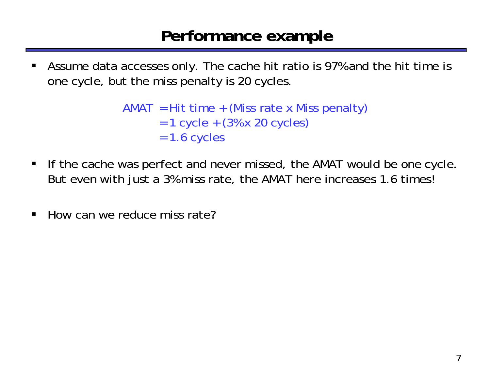#### **Performance example**

ш Assume data accesses only. The cache hit ratio is 97% and the hit time is one cycle, but the miss penalty is 20 cycles.

```
AMAT = Hit time + (Miss rate x Miss penalty)= 1 cycle + (3% x 20 cycles)
= 1.6 cycles
```
- $\blacksquare$  If the cache was perfect and never missed, the AMAT would be one cycle. But even with just a 3% miss rate, the AMAT here increases 1.6 times!
- $\blacksquare$ How can we reduce miss rate?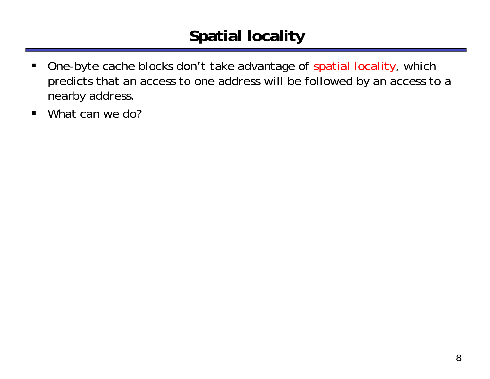# **Spatial locality**

- $\blacksquare$  One-byte cache blocks don't take advantage of spatial locality, which predicts that an access to one address will be followed by an access to a nearby address.
- $\blacksquare$ What can we do?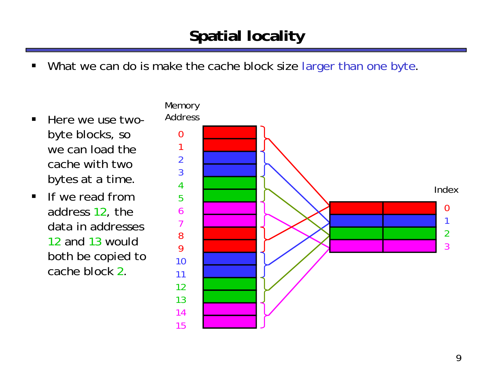# **Spatial locality**

- ш What we can do is make the cache block size larger than one byte.
- $\blacksquare$  Here we use twobyte blocks, so we can load thecache with twobytes at a time.
- $\blacksquare$  If we read fromaddress 12, the data in addresses12 *and* 13 would both be copied to cache block 2.

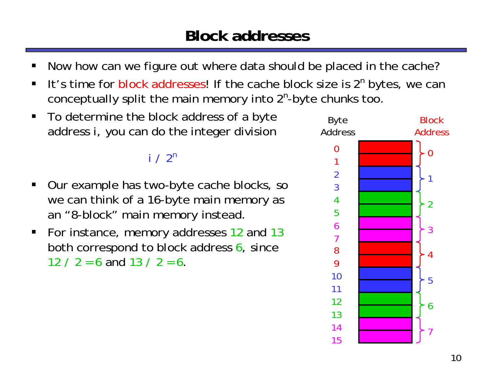- ш Now how can we figure out where data should be placed in the cache?
- П It's time for block addresses! If the cache block size is 2*<sup>n</sup>* bytes, we can conceptually split the main memory into 2*<sup>n</sup>*-byte chunks too.
- $\blacksquare$  To determine the block address of a byte address *i*, you can do the integer division

#### *i* $i / 2^n$

- ш Our example has two-byte cache blocks, so we can think of a 16-byte main memory as an "8-block" main memory instead.
- $\blacksquare$  For instance, memory addresses 12 and 13 both correspond to block address 6, since 12 / 2 = 6 and 13 / 2 = 6

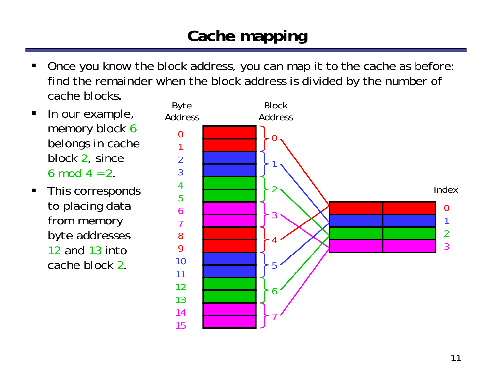# **Cache mapping**

- ш Once you know the block address, you can map it to the cache as before: find the remainder when the block address is divided by the number of cache blocks.
- $\blacksquare$  In our example, memory block 6 belongs in cache block 2, since 6 mod  $4 = 2$ .
- $\blacksquare$  This corresponds to placing data from memory *byte* addresses 12 and 13 into cache block 2.

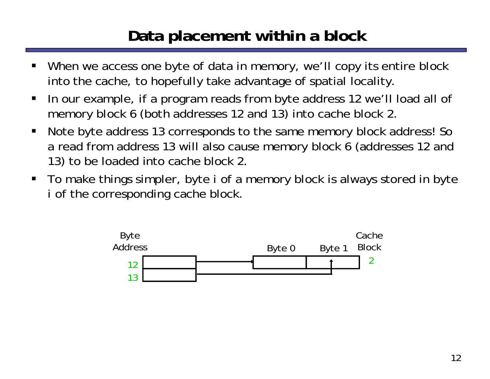### **Data placement within a block**

- ш When we access one byte of data in memory, we'll copy its entire *block*  into the cache, to hopefully take advantage of spatial locality.
- $\blacksquare$  In our example, if a program reads from byte address 12 we'll load all of memory block 6 (both addresses 12 and 13) into cache block 2.
- $\blacksquare$  Note byte address 13 corresponds to the *same* memory block address! So a read from address 13 will also cause memory block 6 (addresses 12 and 13) to be loaded into cache block 2.
- To make things simpler, byte *i* of a memory block is always stored in byte *i* $i$  of the corresponding cache block.

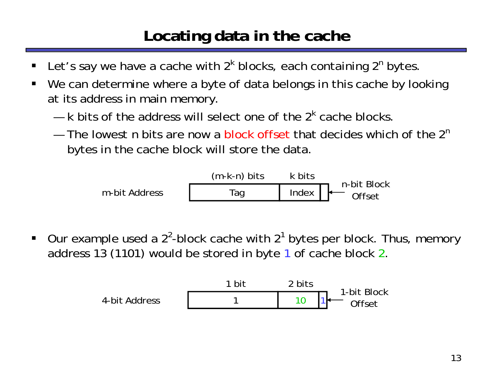#### **Locating data in the cache**

- ш ■ Let's say we have a cache with 2<sup>k</sup> blocks, each containing 2<sup>n</sup> bytes
- $\blacksquare$  We can determine where a byte of data belongs in this cache by looking at its address in main memory.
	- —*k* bits of the address will select one of the 2*k* cache blocks.
	- $-$  The lowest *n* bits are now a block offset that decides which of the 2<sup>n</sup> bytes in the cache block will store the data.



 $\blacksquare$ Our example used a  $2^2$ -block cache with  $2^1$  bytes per block. Thus, memory address 13 (1101) would be stored in byte 1 of cache block 2.

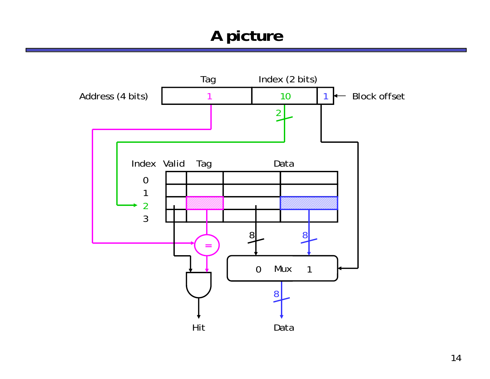#### **A picture**

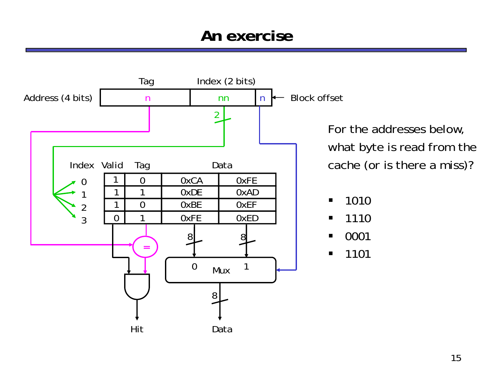#### **An exercise**



For the addresses below, what byte is read from the cache (or is there a miss)?

- $\blacksquare$ ■ 1010
- $\blacksquare$ 1110
- $\blacksquare$ ■ 0001
- $\blacksquare$ 1101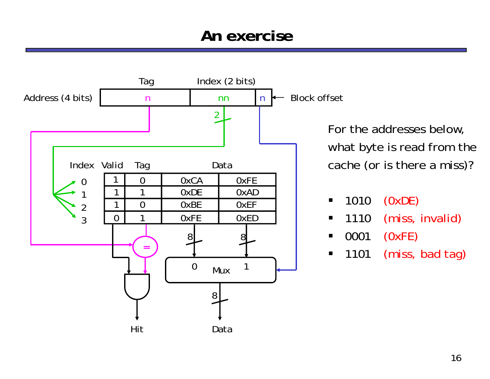#### **An exercise**



For the addresses below, what byte is read from the cache (or is there a miss)?

- $\blacksquare$  1010(0xDE)
- $\blacksquare$  1110(miss, invalid)
- $\blacksquare$  0001(0xFE)
- $\blacksquare$  1101(miss, bad tag)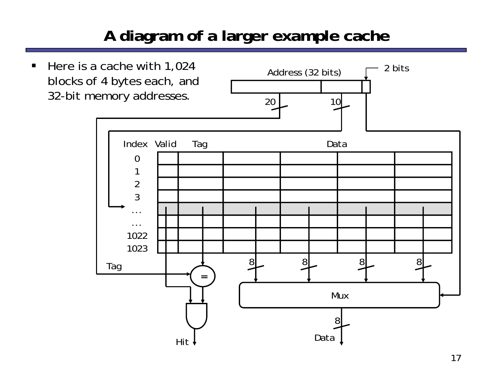# **A diagram of a larger example cache**

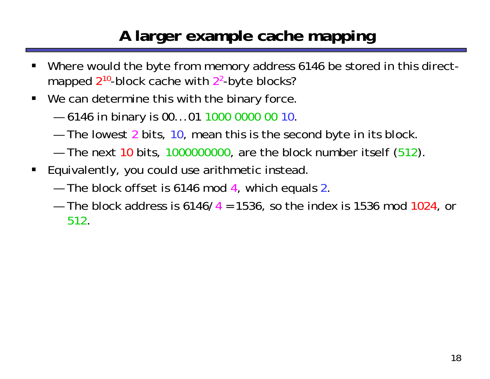### **A larger example cache mapping**

- ш Where would the byte from memory address 6146 be stored in this directmapped 2<sup>10</sup>-block cache with 2<sup>2</sup>-byte blocks?
- We can determine this with the binary force.
	- ——————— 6146 in binary is 00...01 1000 0000 00 10.
	- $-$  The lowest 2 bits, 10, mean this is the second byte in its block
	- $-$  The next 10 bits, 1000000000, are the block number itself (512).
- **Equivalently, you could use arithmetic instead.** 
	- The block offset is 6146 mod 4, which equals 2.
	- The block address is 6146/ 4 = 1536, so the index is 1536 mod 1024, or 512.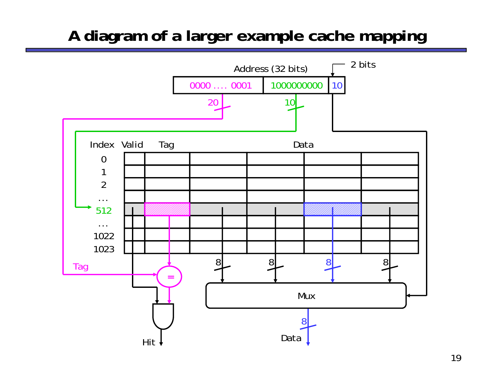#### **A diagram of a larger example cache mapping**

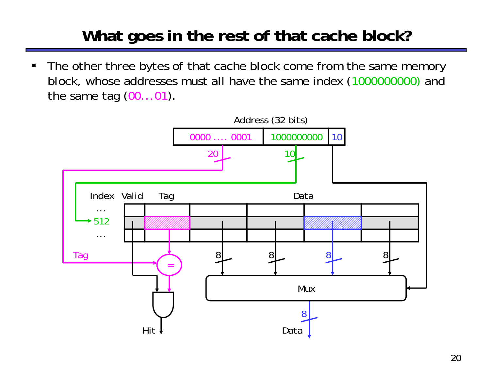## **What goes in the rest of that cache block?**

 $\blacksquare$  The other three bytes of that cache block come from the same memory block, whose addresses must all have the same index (1000000000) and the same tag  $(00...01)$ .